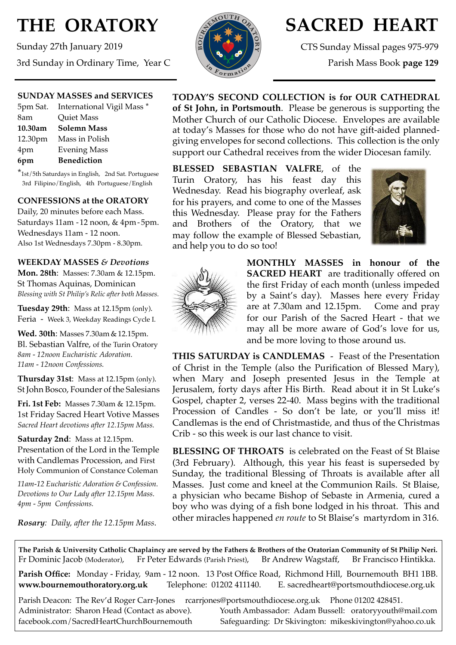# **THE ORATORY**

Sunday 27th January 2019 3rd Sunday in Ordinary Time, Year C



## **SACRED HEART**

CTS Sunday Missal pages 975-979

Parish Mass Book **page 129**

#### **SUNDAY MASSES and SERVICES**

|         | 5pm Sat. International Vigil Mass * |
|---------|-------------------------------------|
| 8am     | Quiet Mass                          |
| 10.30am | <b>Solemn Mass</b>                  |
|         | 12.30pm Mass in Polish              |
| 4pm     | <b>Evening Mass</b>                 |
| 6pm     | <b>Benediction</b>                  |

\*1st/5th Saturdays in English, 2nd Sat. Portuguese 3rd Filipino/English, 4th Portuguese/English

#### **CONFESSIONS at the ORATORY**

Daily, 20 minutes before each Mass. Saturdays 11am - 12 noon, & 4pm- 5pm. Wednesdays 11am - 12 noon. Also 1st Wednesdays 7.30pm - 8.30pm.

#### **WEEKDAY MASSES** *& Devotions*

**Mon. 28th**: Masses: 7.30am & 12.15pm. St Thomas Aquinas, Dominican *Blessing with St Philip's Relic after both Masses.*

**Tuesday 29th**: Mass at 12.15pm (only). Feria - Week 3, Weekday Readings Cycle I.

**Wed. 30th**: Masses 7.30am & 12.15pm. Bl. Sebastian Valfre, of the Turin Oratory *8am - 12noon Eucharistic Adoration. 11am - 12noon Confessions.*

**Thursday 31st**: Mass at 12.15pm (only). St John Bosco, Founder of the Salesians

**Fri. 1st Feb:** Masses 7.30am & 12.15pm. 1st Friday Sacred Heart Votive Masses *Sacred Heart devotions after 12.15pm Mass.*

**Saturday 2nd**: Mass at 12.15pm. Presentation of the Lord in the Temple with Candlemas Procession, and First Holy Communion of Constance Coleman

*11am-12 Eucharistic Adoration & Confession. Devotions to Our Lady after 12.15pm Mass. 4pm - 5pm Confessions.*

*Rosary: Daily, after the 12.15pm Mass*.

**TODAY'S SECOND COLLECTION is for OUR CATHEDRAL of St John, in Portsmouth**. Please be generous is supporting the Mother Church of our Catholic Diocese. Envelopes are available at today's Masses for those who do not have gift-aided plannedgiving envelopes for second collections. This collection is the only support our Cathedral receives from the wider Diocesan family.

**BLESSED SEBASTIAN VALFRE**, of the Turin Oratory, has his feast day this Wednesday. Read his biography overleaf, ask for his prayers, and come to one of the Masses this Wednesday. Please pray for the Fathers and Brothers of the Oratory, that we may follow the example of Blessed Sebastian, and help you to do so too!





**MONTHLY MASSES in honour of the SACRED HEART** are traditionally offered on the first Friday of each month (unless impeded by a Saint's day). Masses here every Friday are at 7.30am and 12.15pm. Come and pray for our Parish of the Sacred Heart - that we may all be more aware of God's love for us, and be more loving to those around us.

**THIS SATURDAY is CANDLEMAS** - Feast of the Presentation of Christ in the Temple (also the Purification of Blessed Mary), when Mary and Joseph presented Jesus in the Temple at Jerusalem, forty days after His Birth. Read about it in St Luke's Gospel, chapter 2, verses 22-40. Mass begins with the traditional Procession of Candles - So don't be late, or you'll miss it! Candlemas is the end of Christmastide, and thus of the Christmas Crib - so this week is our last chance to visit.

**BLESSING OF THROATS** is celebrated on the Feast of St Blaise (3rd February). Although, this year his feast is superseded by Sunday, the traditional Blessing of Throats is available after all Masses. Just come and kneel at the Communion Rails. St Blaise, a physician who became Bishop of Sebaste in Armenia, cured a boy who was dying of a fish bone lodged in his throat. This and other miracles happened *en route* to St Blaise's martyrdom in 316.

**The Parish & University Catholic Chaplaincy are served by the Fathers & Brothers of the Oratorian Community of St Philip Neri.** Fr Dominic Jacob (Moderator), Fr Peter Edwards (Parish Priest), Br Andrew Wagstaff, Br Francisco Hintikka.

**Parish Office:** Monday - Friday, 9am - 12 noon. 13 Post Office Road, Richmond Hill, Bournemouth BH1 1BB. **[www.bournemouthoratory.org.uk](http://www.bournemoithoratory.org.uk)** Telephone: 01202 411140. E. [sacredheart@portsmouthdiocese.org.uk](mailto:sacredheart@portsmouthdiocese.org.uk)

Parish Deacon: The Rev'd Roger Carr-Jones [rcarrjones@portsmouthdiocese.org.uk](mailto:rcarrjones@portsmouthdiocese.org.uk) Phone 01202 428451.

Administrator: Sharon Head (Contact as above). Youth Ambassador: Adam Bussell: [oratoryyouth@mail.com](http://oratoryyouth.mail.com) [facebook.com/SacredHeartChurchBournemouth](http://facebook.com/SaccredHeartChurchBournemouth) Safeguarding: Dr Skivington: mikeskivington@yahoo.co.uk